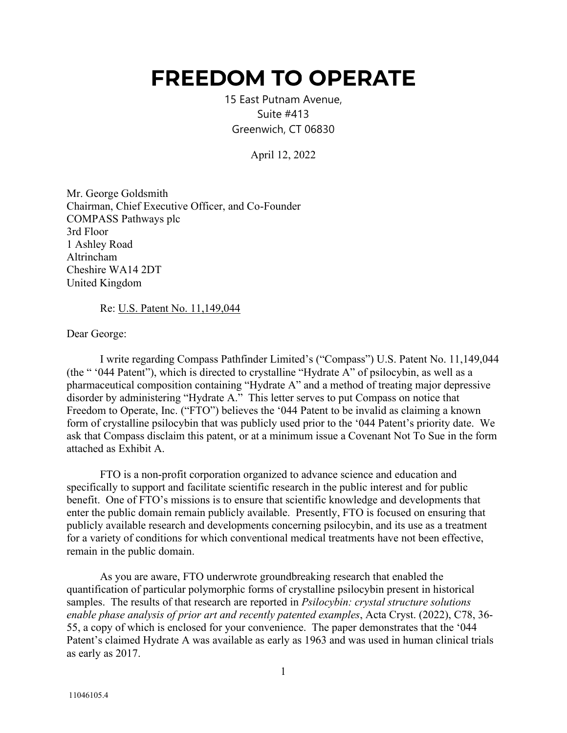## **FREEDOM TO OPERATE**

15 East Putnam Avenue, Suite #413 Greenwich, CT 06830

April 12, 2022

Mr. George Goldsmith Chairman, Chief Executive Officer, and Co-Founder COMPASS Pathways plc 3rd Floor 1 Ashley Road Altrincham Cheshire WA14 2DT United Kingdom

Re: U.S. Patent No. 11,149,044

Dear George:

I write regarding Compass Pathfinder Limited's ("Compass") U.S. Patent No. 11,149,044 (the " '044 Patent"), which is directed to crystalline "Hydrate A" of psilocybin, as well as a pharmaceutical composition containing "Hydrate A" and a method of treating major depressive disorder by administering "Hydrate A." This letter serves to put Compass on notice that Freedom to Operate, Inc. ("FTO") believes the '044 Patent to be invalid as claiming a known form of crystalline psilocybin that was publicly used prior to the '044 Patent's priority date. We ask that Compass disclaim this patent, or at a minimum issue a Covenant Not To Sue in the form attached as Exhibit A.

FTO is a non-profit corporation organized to advance science and education and specifically to support and facilitate scientific research in the public interest and for public benefit. One of FTO's missions is to ensure that scientific knowledge and developments that enter the public domain remain publicly available. Presently, FTO is focused on ensuring that publicly available research and developments concerning psilocybin, and its use as a treatment for a variety of conditions for which conventional medical treatments have not been effective, remain in the public domain.

As you are aware, FTO underwrote groundbreaking research that enabled the quantification of particular polymorphic forms of crystalline psilocybin present in historical samples. The results of that research are reported in *Psilocybin: crystal structure solutions enable phase analysis of prior art and recently patented examples*, Acta Cryst. (2022), C78, 36- 55, a copy of which is enclosed for your convenience. The paper demonstrates that the '044 Patent's claimed Hydrate A was available as early as 1963 and was used in human clinical trials as early as 2017.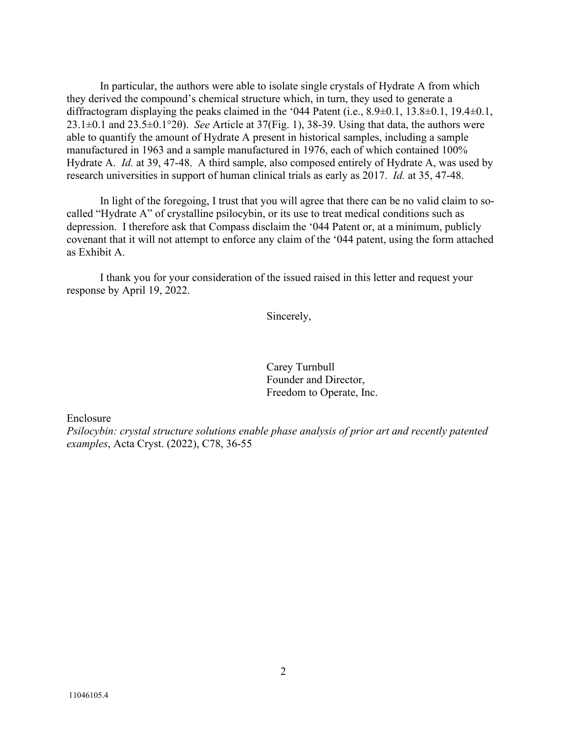In particular, the authors were able to isolate single crystals of Hydrate A from which they derived the compound's chemical structure which, in turn, they used to generate a diffractogram displaying the peaks claimed in the '044 Patent (i.e., 8.9±0.1, 13.8±0.1, 19.4±0.1, 23.1±0.1 and 23.5±0.1°2θ). *See* Article at 37(Fig. 1), 38-39. Using that data, the authors were able to quantify the amount of Hydrate A present in historical samples, including a sample manufactured in 1963 and a sample manufactured in 1976, each of which contained 100% Hydrate A. *Id.* at 39, 47-48. A third sample, also composed entirely of Hydrate A, was used by research universities in support of human clinical trials as early as 2017. *Id.* at 35, 47-48.

In light of the foregoing, I trust that you will agree that there can be no valid claim to socalled "Hydrate A" of crystalline psilocybin, or its use to treat medical conditions such as depression. I therefore ask that Compass disclaim the '044 Patent or, at a minimum, publicly covenant that it will not attempt to enforce any claim of the '044 patent, using the form attached as Exhibit A.

I thank you for your consideration of the issued raised in this letter and request your response by April 19, 2022.

Sincerely,

Carey Turnbull Founder and Director, Freedom to Operate, Inc.

Enclosure

*Psilocybin: crystal structure solutions enable phase analysis of prior art and recently patented examples*, Acta Cryst. (2022), C78, 36-55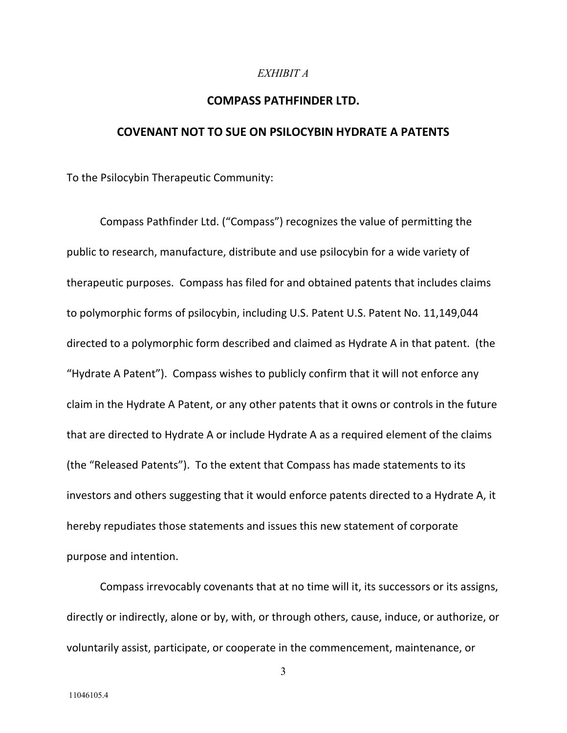## *EXHIBIT A*

## **COMPASS PATHFINDER LTD.**

## **COVENANT NOT TO SUE ON PSILOCYBIN HYDRATE A PATENTS**

To the Psilocybin Therapeutic Community:

Compass Pathfinder Ltd. ("Compass") recognizes the value of permitting the public to research, manufacture, distribute and use psilocybin for a wide variety of therapeutic purposes. Compass has filed for and obtained patents that includes claims to polymorphic forms of psilocybin, including U.S. Patent U.S. Patent No. 11,149,044 directed to a polymorphic form described and claimed as Hydrate A in that patent. (the "Hydrate A Patent"). Compass wishes to publicly confirm that it will not enforce any claim in the Hydrate A Patent, or any other patents that it owns or controls in the future that are directed to Hydrate A or include Hydrate A as a required element of the claims (the "Released Patents"). To the extent that Compass has made statements to its investors and others suggesting that it would enforce patents directed to a Hydrate A, it hereby repudiates those statements and issues this new statement of corporate purpose and intention.

Compass irrevocably covenants that at no time will it, its successors or its assigns, directly or indirectly, alone or by, with, or through others, cause, induce, or authorize, or voluntarily assist, participate, or cooperate in the commencement, maintenance, or